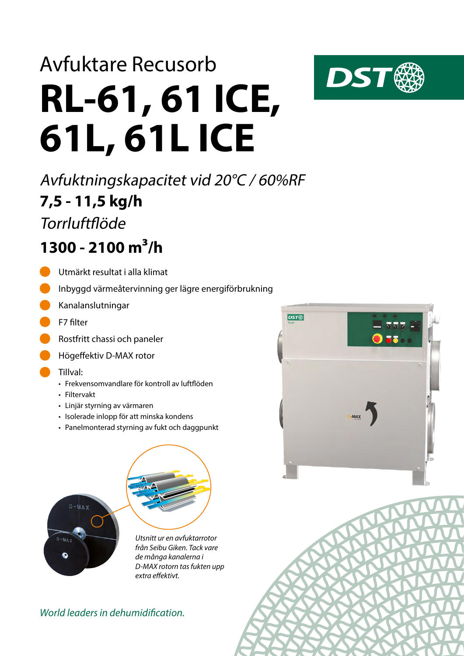# **RL-61, 61 ICE, 61L, 61L ICE** Avfuktare Recusorb

**7,5 - 11,5 kg/h** Avfuktningskapacitet vid 20°C / 60%RF

**Torrluftflöde** 

### **1300 - 2100 m³/h**

- Utmärkt resultat i alla klimat
- Inbyggd värmeåtervinning ger lägre energiförbrukning
- Kanalanslutningar
- F7 filter
- Rostfritt chassi och paneler
- Högeffektiv D-MAX rotor
- Tillval:
	- Frekvensomvandlare för kontroll av luftflöden
	- Filtervakt
	- Linjär styrning av värmaren
	- Isolerade inlopp för att minska kondens
	- Panelmonterad styrning av fukt och daggpunkt



*Utsnitt ur en avfuktarrotor från Seibu Giken. Tack vare de många kanalerna i D-MAX rotorn tas fukten upp extra effektivt.*

#### *World leaders in dehumidification.*